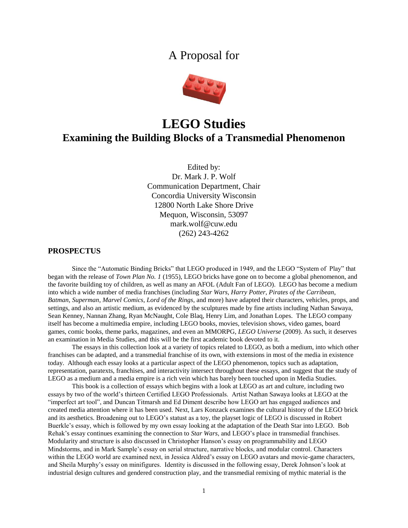# A Proposal for



# **LEGO Studies Examining the Building Blocks of a Transmedial Phenomenon**

Edited by: Dr. Mark J. P. Wolf Communication Department, Chair Concordia University Wisconsin 12800 North Lake Shore Drive Mequon, Wisconsin, 53097 mark.wolf@cuw.edu (262) 243-4262

## **PROSPECTUS**

Since the "Automatic Binding Bricks" that LEGO produced in 1949, and the LEGO "System of Play" that began with the release of *Town Plan No. 1* (1955), LEGO bricks have gone on to become a global phenomenon, and the favorite building toy of children, as well as many an AFOL (Adult Fan of LEGO). LEGO has become a medium into which a wide number of media franchises (including *Star Wars*, *Harry Potter*, *Pirates of the Carribean*, *Batman*, *Superman*, *Marvel Comics*, *Lord of the Rings*, and more) have adapted their characters, vehicles, props, and settings, and also an artistic medium, as evidenced by the sculptures made by fine artists including Nathan Sawaya, Sean Kenney, Nannan Zhang, Ryan McNaught, Cole Blaq, Henry Lim, and Jonathan Lopes. The LEGO company itself has become a multimedia empire, including LEGO books, movies, television shows, video games, board games, comic books, theme parks, magazines, and even an MMORPG, *LEGO Universe* (2009). As such, it deserves an examination in Media Studies, and this will be the first academic book devoted to it.

The essays in this collection look at a variety of topics related to LEGO, as both a medium, into which other franchises can be adapted, and a transmedial franchise of its own, with extensions in most of the media in existence today. Although each essay looks at a particular aspect of the LEGO phenomenon, topics such as adaptation, representation, paratexts, franchises, and interactivity intersect throughout these essays, and suggest that the study of LEGO as a medium and a media empire is a rich vein which has barely been touched upon in Media Studies.

This book is a collection of essays which begins with a look at LEGO as art and culture, including two essays by two of the world's thirteen Certified LEGO Professionals. Artist Nathan Sawaya looks at LEGO at the "imperfect art tool", and Duncan Titmarsh and Ed Diment describe how LEGO art has engaged audiences and created media attention where it has been used. Next, Lars Konzack examines the cultural history of the LEGO brick and its aesthetics. Broadening out to LEGO's statust as a toy, the playset logic of LEGO is discussed in Robert Buerkle's essay, which is followed by my own essay looking at the adaptation of the Death Star into LEGO. Bob Rehak's essay continues examining the connection to *Star Wars*, and LEGO's place in transmedial franchises. Modularity and structure is also discussed in Christopher Hanson's essay on programmability and LEGO Mindstorms, and in Mark Sample's essay on serial structure, narrative blocks, and modular control. Characters within the LEGO world are examined next, in Jessica Aldred's essay on LEGO avatars and movie-game characters, and Sheila Murphy's essay on minifigures. Identity is discussed in the following essay, Derek Johnson's look at industrial design cultures and gendered construction play, and the transmedial remixing of mythic material is the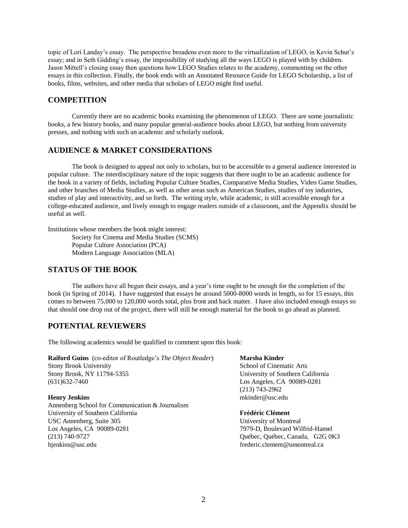topic of Lori Landay's essay. The perspective broadens even more to the virtualization of LEGO, in Kevin Schut's essay; and in Seth Gidding's essay, the impossibility of studying all the ways LEGO is played with by children. Jason Mittell's closing essay then questions how LEGO Studies relates to the academy, commenting on the other essays in this collection. Finally, the book ends with an Annotated Resource Guide for LEGO Scholarship, a list of books, films, websites, and other media that scholars of LEGO might find useful.

# **COMPETITION**

Currently there are no academic books examining the phenomenon of LEGO. There are some journalistic books, a few history books, and many popular general-audience books about LEGO, but nothing from university presses, and nothing with such an academic and scholarly outlook.

# **AUDIENCE & MARKET CONSIDERATIONS**

The book is designed to appeal not only to scholars, but to be accessible to a general audience interested in popular culture. The interdisciplinary nature of the topic suggests that there ought to be an academic audience for the book in a variety of fields, including Popular Culture Studies, Comparative Media Studies, Video Game Studies, and other branches of Media Studies, as well as other areas such as American Studies, studies of toy industries, studies of play and interactivity, and so forth. The writing style, while academic, is still accessible enough for a college-educated audience, and lively enough to engage readers outside of a classroom, and the Appendix should be useful as well.

Institutions whose members the book might interest:

Society for Cinema and Media Studies (SCMS) Popular Culture Association (PCA) Modern Language Association (MLA)

# **STATUS OF THE BOOK**

The authors have all begun their essays, and a year's time ought to be enough for the completion of the book (in Spring of 2014). I have suggested that essays be around 5000-8000 words in length, so for 15 essays, this comes to between 75,000 to 120,000 words total, plus front and back matter. I have also included enough essays so that should one drop out of the project, there will still be enough material for the book to go ahead as planned.

# **POTENTIAL REVIEWERS**

The following academics would be qualified to comment upon this book:

**Raiford Guins** (co-editor of Routledge's *The Object Reader*) **Marsha Kinder** Stony Brook University School of Cinematic Arts Stony Brook, NY 11794-5355 University of Southern California (631)632-7460 Los Angeles, CA 90089-0281

Annenberg School for Communication & Journalism University of Southern California **Frédéric Clément** USC Annenberg, Suite 305 University of Montreal Los Angeles, CA 90089-0281 7979-D, Boulevard Wilfrid-Hamel (213) 740-9727 Québec, Québec, Canada, G2G 0K3 hjenkins@usc.edu frederic.clement@umontreal.ca

(213) 743-2962 **Henry Jenkins** materials and the method of the method of the method of the method of the method of the method of the method of the method of the method of the method of the method of the method of the method of the method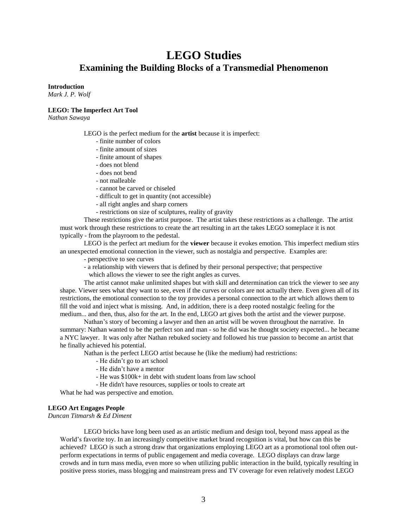# **LEGO Studies Examining the Building Blocks of a Transmedial Phenomenon**

### **Introduction**

*Mark J. P. Wolf*

### **LEGO: The Imperfect Art Tool**

*Nathan Sawaya*

LEGO is the perfect medium for the **artist** because it is imperfect:

- finite number of colors
- finite amount of sizes
- finite amount of shapes
- does not blend
- does not bend
- not malleable
- cannot be carved or chiseled
- difficult to get in quantity (not accessible)
- all right angles and sharp corners
- restrictions on size of sculptures, reality of gravity

These restrictions give the artist purpose. The artist takes these restrictions as a challenge. The artist must work through these restrictions to create the art resulting in art the takes LEGO someplace it is not typically - from the playroom to the pedestal.

LEGO is the perfect art medium for the **viewer** because it evokes emotion. This imperfect medium stirs an unexpected emotional connection in the viewer, such as nostalgia and perspective. Examples are:

- perspective to see curves
- a relationship with viewers that is defined by their personal perspective; that perspective
- which allows the viewer to see the right angles as curves.

The artist cannot make unlimited shapes but with skill and determination can trick the viewer to see any shape. Viewer sees what they want to see, even if the curves or colors are not actually there. Even given all of its restrictions, the emotional connection to the toy provides a personal connection to the art which allows them to fill the void and inject what is missing. And, in addition, there is a deep rooted nostalgic feeling for the medium... and then, thus, also for the art. In the end, LEGO art gives both the artist and the viewer purpose.

Nathan's story of becoming a lawyer and then an artist will be woven throughout the narrative. In summary: Nathan wanted to be the perfect son and man - so he did was he thought society expected... he became a NYC lawyer. It was only after Nathan rebuked society and followed his true passion to become an artist that he finally achieved his potential.

Nathan is the perfect LEGO artist because he (like the medium) had restrictions:

- He didn't go to art school
- He didn't have a mentor
- He was \$100k+ in debt with student loans from law school
- He didn't have resources, supplies or tools to create art

What he had was perspective and emotion.

### **LEGO Art Engages People**

*Duncan Titmarsh & Ed Diment*

LEGO bricks have long been used as an artistic medium and design tool, beyond mass appeal as the World's favorite toy. In an increasingly competitive market brand recognition is vital, but how can this be achieved? LEGO is such a strong draw that organizations employing LEGO art as a promotional tool often outperform expectations in terms of public engagement and media coverage. LEGO displays can draw large crowds and in turn mass media, even more so when utilizing public interaction in the build, typically resulting in positive press stories, mass blogging and mainstream press and TV coverage for even relatively modest LEGO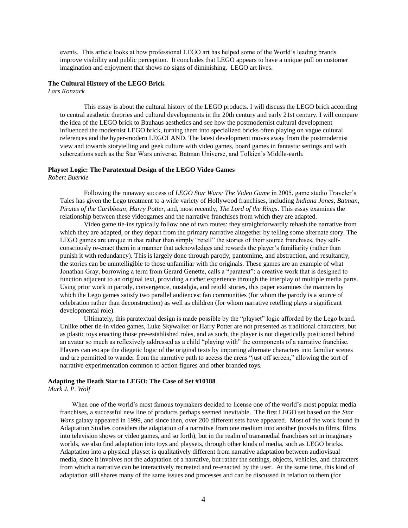events. This article looks at how professional LEGO art has helped some of the World's leading brands improve visibility and public perception. It concludes that LEGO appears to have a unique pull on customer imagination and enjoyment that shows no signs of diminishing. LEGO art lives.

### **The Cultural History of the LEGO Brick**

*Lars Konzack*

This essay is about the cultural history of the LEGO products. I will discuss the LEGO brick according to central aesthetic theories and cultural developments in the 20th century and early 21st century. I will compare the idea of the LEGO brick to Bauhaus aesthetics and see how the postmodernist cultural development influenced the modernist LEGO brick, turning them into specialized bricks often playing on vague cultural references and the hyper-modern LEGOLAND. The latest development moves away from the postmodernist view and towards storytelling and geek culture with video games, board games in fantastic settings and with subcreations such as the Star Wars universe, Batman Universe, and Tolkien's Middle-earth.

# **Playset Logic: The Paratextual Design of the LEGO Video Games**

*Robert Buerkle*

Following the runaway success of *LEGO Star Wars: The Video Game* in 2005, game studio Traveler's Tales has given the Lego treatment to a wide variety of Hollywood franchises, including *Indiana Jones*, *Batman*, *Pirates of the Caribbean*, *Harry Potter*, and, most recently, *The Lord of the Rings*. This essay examines the relationship between these videogames and the narrative franchises from which they are adapted.

Video game tie-ins typically follow one of two routes: they straightforwardly rehash the narrative from which they are adapted, or they depart from the primary narrative altogether by telling some alternate story. The LEGO games are unique in that rather than simply "retell" the stories of their source franchises, they selfconsciously re-enact them in a manner that acknowledges and rewards the player's familiarity (rather than punish it with redundancy). This is largely done through parody, pantomime, and abstraction, and resultantly, the stories can be unintelligible to those unfamiliar with the originals. These games are an example of what Jonathan Gray, borrowing a term from Gerard Genette, calls a "paratext": a creative work that is designed to function adjacent to an original text, providing a richer experience through the interplay of multiple media parts. Using prior work in parody, convergence, nostalgia, and retold stories, this paper examines the manners by which the Lego games satisfy two parallel audiences: fan communities (for whom the parody is a source of celebration rather than deconstruction) as well as children (for whom narrative retelling plays a significant developmental role).

Ultimately, this paratextual design is made possible by the "playset" logic afforded by the Lego brand. Unlike other tie-in video games, Luke Skywalker or Harry Potter are not presented as traditional characters, but as plastic toys enacting those pre-established roles, and as such, the player is not diegetically positioned behind an avatar so much as reflexively addressed as a child "playing with" the components of a narrative franchise. Players can escape the diegetic logic of the original texts by importing alternate characters into familiar scenes and are permitted to wander from the narrative path to access the areas "just off screen," allowing the sort of narrative experimentation common to action figures and other branded toys.

# **Adapting the Death Star to LEGO: The Case of Set #10188**

*Mark J. P. Wolf*

When one of the world's most famous toymakers decided to license one of the world's most popular media franchises, a successful new line of products perhaps seemed inevitable. The first LEGO set based on the *Star Wars* galaxy appeared in 1999, and since then, over 200 different sets have appeared. Most of the work found in Adaptation Studies considers the adaptation of a narrative from one medium into another (novels to films, films into television shows or video games, and so forth), but in the realm of transmedial franchises set in imaginary worlds, we also find adaptation into toys and playsets, through other kinds of media, such as LEGO bricks. Adaptation into a physical playset is qualitatively different from narrative adaptation between audiovisual media, since it involves not the adaptation of a narrative, but rather the settings, objects, vehicles, and characters from which a narrative can be interactively recreated and re-enacted by the user. At the same time, this kind of adaptation still shares many of the same issues and processes and can be discussed in relation to them (for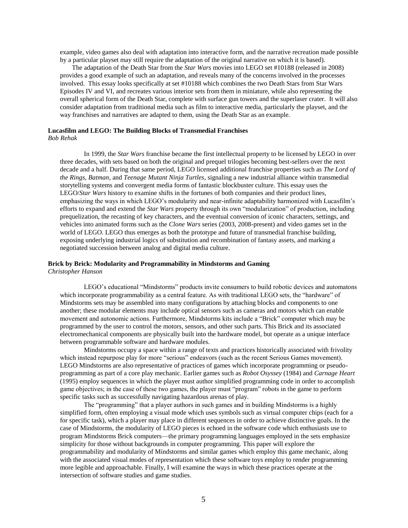example, video games also deal with adaptation into interactive form, and the narrative recreation made possible by a particular playset may still require the adaptation of the original narrative on which it is based).

The adaptation of the Death Star from the *Star Wars* movies into LEGO set #10188 (released in 2008) provides a good example of such an adaptation, and reveals many of the concerns involved in the processes involved. This essay looks specifically at set #10188 which combines the two Death Stars from Star Wars Episodes IV and VI, and recreates various interior sets from them in miniature, while also representing the overall spherical form of the Death Star, complete with surface gun towers and the superlaser crater. It will also consider adaptation from traditional media such as film to interactive media, particularly the playset, and the way franchises and narratives are adapted to them, using the Death Star as an example.

### **Lucasfilm and LEGO: The Building Blocks of Transmedial Franchises**

*Bob Rehak*

In 1999, the *Star Wars* franchise became the first intellectual property to be licensed by LEGO in over three decades, with sets based on both the original and prequel trilogies becoming best-sellers over the next decade and a half. During that same period, LEGO licensed additional franchise properties such as *The Lord of the Rings*, *Batman*, and *Teenage Mutant Ninja Turtles*, signaling a new industrial alliance within transmedial storytelling systems and convergent media forms of fantastic blockbuster culture. This essay uses the LEGO/*Star Wars* history to examine shifts in the fortunes of both companies and their product lines, emphasizing the ways in which LEGO's modularity and near-infinite adaptability harmonized with Lucasfilm's efforts to expand and extend the *Star Wars* property through its own "modularization" of production, including prequelization, the recasting of key characters, and the eventual conversion of iconic characters, settings, and vehicles into animated forms such as the *Clone Wars* series (2003, 2008-present) and video games set in the world of LEGO. LEGO thus emerges as both the prototype and future of transmedial franchise building, exposing underlying industrial logics of substitution and recombination of fantasy assets, and marking a negotiated succession between analog and digital media culture.

### **Brick by Brick: Modularity and Programmability in Mindstorms and Gaming** *Christopher Hanson*

LEGO's educational "Mindstorms" products invite consumers to build robotic devices and automatons which incorporate programmability as a central feature. As with traditional LEGO sets, the "hardware" of Mindstorms sets may be assembled into many configurations by attaching blocks and components to one another; these modular elements may include optical sensors such as cameras and motors which can enable movement and autonomic actions. Furthermore, Mindstorms kits include a "Brick" computer which may be programmed by the user to control the motors, sensors, and other such parts. This Brick and its associated electromechanical components are physically built into the hardware model, but operate as a unique interface between programmable software and hardware modules.

Mindstorms occupy a space within a range of texts and practices historically associated with frivolity which instead repurpose play for more "serious" endeavors (such as the recent Serious Games movement). LEGO Mindstorms are also representative of practices of games which incorporate programming or pseudoprogramming as part of a core play mechanic. Earlier games such as *Robot Osyssey* (1984) and *Carnage Heart*  (1995) employ sequences in which the player must author simplified programming code in order to accomplish game objectives; in the case of these two games, the player must "program" robots in the game to perform specific tasks such as successfully navigating hazardous arenas of play.

The "programming" that a player authors in such games and in building Mindstorms is a highly simplified form, often employing a visual mode which uses symbols such as virtual computer chips (each for a for specific task), which a player may place in different sequences in order to achieve distinctive goals. In the case of Mindstorms, the modularity of LEGO pieces is echoed in the software code which enthusiasts use to program Mindstorms Brick computers—the primary programming languages employed in the sets emphasize simplicity for those without backgrounds in computer programming. This paper will explore the programmability and modularity of Mindstorms and similar games which employ this game mechanic, along with the associated visual modes of representation which these software toys employ to render programming more legible and approachable. Finally, I will examine the ways in which these practices operate at the intersection of software studies and game studies.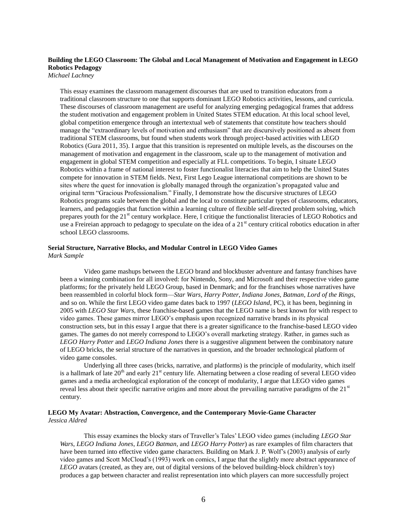# **Building the LEGO Classroom: The Global and Local Management of Motivation and Engagement in LEGO Robotics Pedagogy**

*Michael Lachney*

This essay examines the classroom management discourses that are used to transition educators from a traditional classroom structure to one that supports dominant LEGO Robotics activities, lessons, and curricula. These discourses of classroom management are useful for analyzing emerging pedagogical frames that address the student motivation and engagement problem in United States STEM education. At this local school level, global competition emergence through an intertextual web of statements that constitute how teachers should manage the "extraordinary levels of motivation and enthusiasm" that are discursively positioned as absent from traditional STEM classrooms, but found when students work through project-based activities with LEGO Robotics (Gura 2011, 35). I argue that this transition is represented on multiple levels, as the discourses on the management of motivation and engagement in the classroom, scale up to the management of motivation and engagement in global STEM competition and especially at FLL competitions. To begin, I situate LEGO Robotics within a frame of national interest to foster functionalist literacies that aim to help the United States compete for innovation in STEM fields. Next, First Lego League international competitions are shown to be sites where the quest for innovation is globally managed through the organization's propagated value and original term "Gracious Professionalism." Finally, I demonstrate how the discursive structures of LEGO Robotics programs scale between the global and the local to constitute particular types of classrooms, educators, learners, and pedagogies that function within a learning culture of flexible self-directed problem solving, which prepares youth for the 21<sup>st</sup> century workplace. Here, I critique the functionalist literacies of LEGO Robotics and use a Freireian approach to pedagogy to speculate on the idea of a  $21<sup>st</sup>$  century critical robotics education in after school LEGO classrooms.

### **Serial Structure, Narrative Blocks, and Modular Control in LEGO Video Games** *Mark Sample*

Video game mashups between the LEGO brand and blockbuster adventure and fantasy franchises have been a winning combination for all involved: for Nintendo, Sony, and Microsoft and their respective video game platforms; for the privately held LEGO Group, based in Denmark; and for the franchises whose narratives have been reassembled in colorful block form—*Star Wars*, *Harry Potter*, *Indiana Jones*, *Batman*, *Lord of the Rings*, and so on. While the first LEGO video game dates back to 1997 (*LEGO Island*, PC), it has been, beginning in 2005 with *LEGO Star Wars*, these franchise-based games that the LEGO name is best known for with respect to video games. These games mirror LEGO's emphasis upon recognized narrative brands in its physical construction sets, but in this essay I argue that there is a greater significance to the franchise-based LEGO video games. The games do not merely correspond to LEGO's overall marketing strategy. Rather, in games such as *LEGO Harry Potter* and *LEGO Indiana Jones* there is a suggestive alignment between the combinatory nature of LEGO bricks, the serial structure of the narratives in question, and the broader technological platform of video game consoles.

Underlying all three cases (bricks, narrative, and platforms) is the principle of modularity, which itself is a hallmark of late 20<sup>th</sup> and early 21<sup>st</sup> century life. Alternating between a close reading of several LEGO video games and a media archeological exploration of the concept of modularity, I argue that LEGO video games reveal less about their specific narrative origins and more about the prevailing narrative paradigms of the  $21<sup>st</sup>$ century.

### **LEGO My Avatar: Abstraction, Convergence, and the Contemporary Movie-Game Character** *Jessica Aldred*

This essay examines the blocky stars of Traveller's Tales' LEGO video games (including *LEGO Star Wars*, *LEGO Indiana Jones*, *LEGO Batman*, and *LEGO Harry Potter*) as rare examples of film characters that have been turned into effective video game characters. Building on Mark J. P. Wolf's (2003) analysis of early video games and Scott McCloud's (1993) work on comics, I argue that the slightly more abstract appearance of *LEGO* avatars (created, as they are, out of digital versions of the beloved building-block children's toy) produces a gap between character and realist representation into which players can more successfully project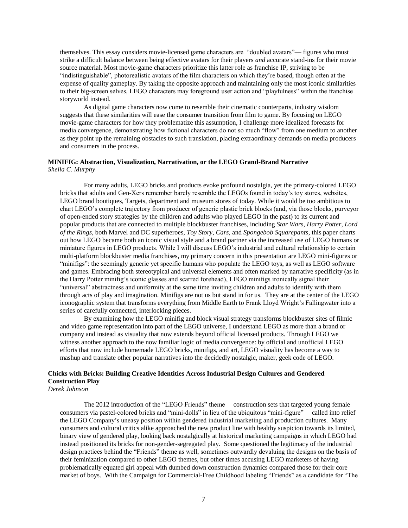themselves. This essay considers movie-licensed game characters are "doubled avatars"— figures who must strike a difficult balance between being effective avatars for their players *and* accurate stand-ins for their movie source material. Most movie-game characters prioritize this latter role as franchise IP, striving to be "indistinguishable", photorealistic avatars of the film characters on which they're based, though often at the expense of quality gameplay. By taking the opposite approach and maintaining only the most iconic similarities to their big-screen selves, LEGO characters may foreground user action and "playfulness" within the franchise storyworld instead.

As digital game characters now come to resemble their cinematic counterparts, industry wisdom suggests that these similarities will ease the consumer transition from film to game. By focusing on LEGO movie-game characters for how they problematize this assumption, I challenge more idealized forecasts for media convergence, demonstrating how fictional characters do not so much "flow" from one medium to another as they point up the remaining obstacles to such translation, placing extraordinary demands on media producers and consumers in the process.

### **MINIFIG: Abstraction, Visualization, Narrativation, or the LEGO Grand-Brand Narrative** *Sheila C. Murphy*

For many adults, LEGO bricks and products evoke profound nostalgia, yet the primary-colored LEGO bricks that adults and Gen-Xers remember barely resemble the LEGOs found in today's toy stores, websites, LEGO brand boutiques, Targets, department and museum stores of today. While it would be too ambitious to chart LEGO's complete trajectory from producer of generic plastic brick blocks (and, via those blocks, purveyor of open-ended story strategies by the children and adults who played LEGO in the past) to its current and popular products that are connected to multiple blockbuster franchises, including *Star Wars*, *Harry Potter*, *Lord of the Rings,* both Marvel and DC superheroes, *Toy Story, Cars,* and *Spongebob Squarepants*, this paper charts out how LEGO became both an iconic visual style and a brand partner via the increased use of LEGO humans or miniature figures in LEGO products. While I will discuss LEGO's industrial and cultural relationship to certain multi-platform blockbuster media franchises, my primary concern in this presentation are LEGO mini-figures or "minifigs": the seemingly generic yet specific humans who populate the LEGO toys, as well as LEGO software and games. Embracing both stereotypical and universal elements and often marked by narrative specificity (as in the Harry Potter minifig's iconic glasses and scarred forehead), LEGO minifigs ironically signal their "universal" abstractness and uniformity at the same time inviting children and adults to identify with them through acts of play and imagination. Minifigs are not us but stand in for us. They are at the center of the LEGO iconographic system that transforms everything from Middle Earth to Frank Lloyd Wright's Fallingwater into a series of carefully connected, interlocking pieces.

By examining how the LEGO minifig and block visual strategy transforms blockbuster sites of filmic and video game representation into part of the LEGO universe, I understand LEGO as more than a brand or company and instead as visuality that now extends beyond official licensed products. Through LEGO we witness another approach to the now familiar logic of media convergence: by official and unofficial LEGO efforts that now include homemade LEGO bricks, minifigs, and art, LEGO visuality has become a way to mashup and translate other popular narratives into the decidedly nostalgic, maker, geek code of LEGO.

# **Chicks with Bricks: Building Creative Identities Across Industrial Design Cultures and Gendered Construction Play**

*Derek Johnson*

The 2012 introduction of the "LEGO Friends" theme —construction sets that targeted young female consumers via pastel-colored bricks and "mini-dolls" in lieu of the ubiquitous "mini-figure"— called into relief the LEGO Company's uneasy position within gendered industrial marketing and production cultures. Many consumers and cultural critics alike approached the new product line with healthy suspicion towards its limited, binary view of gendered play, looking back nostalgically at historical marketing campaigns in which LEGO had instead positioned its bricks for non-gender-segregated play. Some questioned the legitimacy of the industrial design practices behind the "Friends" theme as well, sometimes outwardly devaluing the designs on the basis of their feminization compared to other LEGO themes, but other times accusing LEGO marketers of having problematically equated girl appeal with dumbed down construction dynamics compared those for their core market of boys. With the Campaign for Commercial-Free Childhood labeling "Friends" as a candidate for "The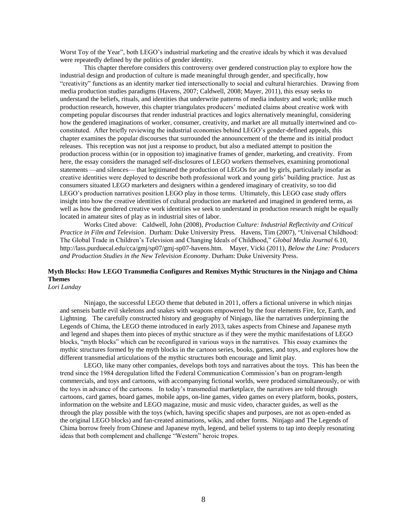Worst Toy of the Year", both LEGO's industrial marketing and the creative ideals by which it was devalued were repeatedly defined by the politics of gender identity.

This chapter therefore considers this controversy over gendered construction play to explore how the industrial design and production of culture is made meaningful through gender, and specifically, how "creativity" functions as an identity marker tied intersectionally to social and cultural hierarchies. Drawing from media production studies paradigms (Havens, 2007; Caldwell, 2008; Mayer, 2011), this essay seeks to understand the beliefs, rituals, and identities that underwrite patterns of media industry and work; unlike much production research, however, this chapter triangulates producers' mediated claims about creative work with competing popular discourses that render industrial practices and logics alternatively meaningful, considering how the gendered imaginations of worker, consumer, creativity, and market are all mutually intertwined and coconstituted. After briefly reviewing the industrial economies behind LEGO's gender-defined appeals, this chapter examines the popular discourses that surrounded the announcement of the theme and its initial product releases. This reception was not just a response to product, but also a mediated attempt to position the production process within (or in opposition to) imaginative frames of gender, marketing, and creativity. From here, the essay considers the managed self-disclosures of LEGO workers themselves, examining promotional statements —and silences— that legitimated the production of LEGOs for and by girls, particularly insofar as creative identities were deployed to describe both professional work and young girls' building practice. Just as consumers situated LEGO marketers and designers within a gendered imaginary of creativity, so too did LEGO's production narratives position LEGO play in those terms. Ultimately, this LEGO case study offers insight into how the creative identities of cultural production are marketed and imagined in gendered terms, as well as how the gendered creative work identities we seek to understand in production research might be equally located in amateur sites of play as in industrial sites of labor.

Works Cited above: Caldwell, John (2008), *Production Culture: Industrial Reflectivity and Critical Practice in Film and Television*. Durham: Duke University Press. Havens, Tim (2007), "Universal Childhood: The Global Trade in Children's Television and Changing Ideals of Childhood," *Global Media Journal* 6.10, http://lass.purduecal.edu/cca/gmj/sp07/gmj-sp07-havens.htm. Mayer, Vicki (2011), *Below the Line: Producers and Production Studies in the New Television Economy*. Durham: Duke University Press.

## **Myth Blocks: How LEGO Transmedia Configures and Remixes Mythic Structures in the Ninjago and Chima Themes**

*Lori Landay*

Ninjago, the successful LEGO theme that debuted in 2011, offers a fictional universe in which ninjas and senseis battle evil skeletons and snakes with weapons empowered by the four elements Fire, Ice, Earth, and Lightning. The carefully constructed history and geography of Ninjago, like the narratives underpinning the Legends of Chima, the LEGO theme introduced in early 2013, takes aspects from Chinese and Japanese myth and legend and shapes them into pieces of mythic structure as if they were the mythic manifestations of LEGO blocks, "myth blocks" which can be reconfigured in various ways in the narratives. This essay examines the mythic structures formed by the myth blocks in the cartoon series, books, games, and toys, and explores how the different transmedial articulations of the mythic structures both encourage and limit play.

LEGO, like many other companies, develops both toys and narratives about the toys. This has been the trend since the 1984 deregulation lifted the Federal Communication Commission's ban on program-length commercials, and toys and cartoons, with accompanying fictional worlds, were produced simultaneously, or with the toys in advance of the cartoons. In today's transmedial martketplace, the narratives are told through cartoons, card games, board games, mobile apps, on-line games, video games on every platform, books, posters, information on the website and LEGO magazine, music and music video, character guides, as well as the through the play possible with the toys (which, having specific shapes and purposes, are not as open-ended as the original LEGO blocks) and fan-created animations, wikis, and other forms. Ninjago and The Legends of Chima borrow freely from Chinese and Japanese myth, legend, and belief systems to tap into deeply resonating ideas that both complement and challenge "Western" heroic tropes.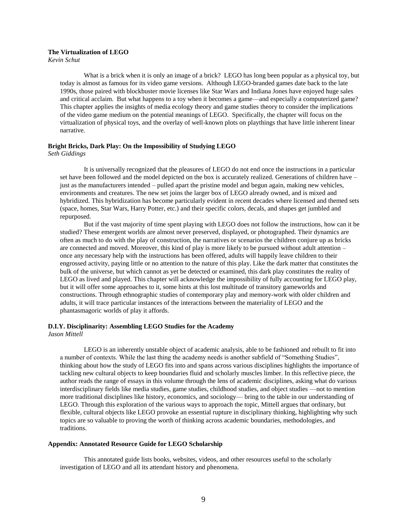### **The Virtualization of LEGO**

*Kevin Schut*

What is a brick when it is only an image of a brick? LEGO has long been popular as a physical toy, but today is almost as famous for its video game versions. Although LEGO-branded games date back to the late 1990s, those paired with blockbuster movie licenses like Star Wars and Indiana Jones have enjoyed huge sales and critical acclaim. But what happens to a toy when it becomes a game—and especially a computerized game? This chapter applies the insights of media ecology theory and game studies theory to consider the implications of the video game medium on the potential meanings of LEGO. Specifically, the chapter will focus on the virtualization of physical toys, and the overlay of well-known plots on playthings that have little inherent linear narrative.

### **Bright Bricks, Dark Play: On the Impossibility of Studying LEGO** *Seth Giddings*

It is universally recognized that the pleasures of LEGO do not end once the instructions in a particular set have been followed and the model depicted on the box is accurately realized. Generations of children have – just as the manufacturers intended – pulled apart the pristine model and begun again, making new vehicles, environments and creatures. The new set joins the larger box of LEGO already owned, and is mixed and hybridized. This hybridization has become particularly evident in recent decades where licensed and themed sets (space, homes, Star Wars, Harry Potter, etc.) and their specific colors, decals, and shapes get jumbled and repurposed.

But if the vast majority of time spent playing with LEGO does not follow the instructions, how can it be studied? These emergent worlds are almost never preserved, displayed, or photographed. Their dynamics are often as much to do with the play of construction, the narratives or scenarios the children conjure up as bricks are connected and moved. Moreover, this kind of play is more likely to be pursued without adult attention – once any necessary help with the instructions has been offered, adults will happily leave children to their engrossed activity, paying little or no attention to the nature of this play. Like the dark matter that constitutes the bulk of the universe, but which cannot as yet be detected or examined, this dark play constitutes the reality of LEGO as lived and played. This chapter will acknowledge the impossibility of fully accounting for LEGO play, but it will offer some approaches to it, some hints at this lost multitude of transitory gameworlds and constructions. Through ethnographic studies of contemporary play and memory-work with older children and adults, it will trace particular instances of the interactions between the materiality of LEGO and the phantasmagoric worlds of play it affords.

# **D.I.Y. Disciplinarity: Assembling LEGO Studies for the Academy**

*Jason Mittell*

LEGO is an inherently unstable object of academic analysis, able to be fashioned and rebuilt to fit into a number of contexts. While the last thing the academy needs is another subfield of "Something Studies", thinking about how the study of LEGO fits into and spans across various disciplines highlights the importance of tackling new cultural objects to keep boundaries fluid and scholarly muscles limber. In this reflective piece, the author reads the range of essays in this volume through the lens of academic disciplines, asking what do various interdisciplinary fields like media studies, game studies, childhood studies, and object studies —not to mention more traditional disciplines like history, economics, and sociology— bring to the table in our understanding of LEGO. Through this exploration of the various ways to approach the topic, Mittell argues that ordinary, but flexible, cultural objects like LEGO provoke an essential rupture in disciplinary thinking, highlighting why such topics are so valuable to proving the worth of thinking across academic boundaries, methodologies, and traditions.

### **Appendix: Annotated Resource Guide for LEGO Scholarship**

This annotated guide lists books, websites, videos, and other resources useful to the scholarly investigation of LEGO and all its attendant history and phenomena.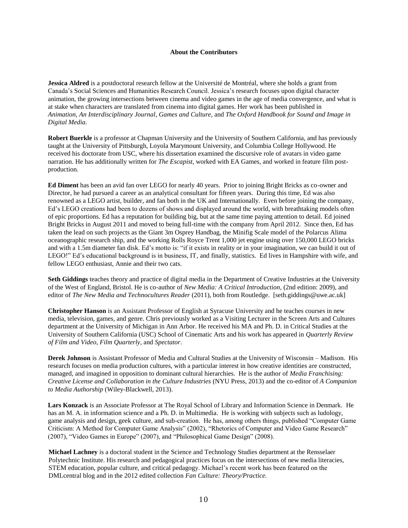### **About the Contributors**

**Jessica Aldred** is a postdoctoral research fellow at the Université de Montréal, where she holds a grant from Canada's Social Sciences and Humanities Research Council. Jessica's research focuses upon digital character animation, the growing intersections between cinema and video games in the age of media convergence, and what is at stake when characters are translated from cinema into digital games. Her work has been published in *Animation*, *An Interdisciplinary Journal*, *Games and Culture*, and *The Oxford Handbook for Sound and Image in Digital Media*.

**Robert Buerkle** is a professor at Chapman University and the University of Southern California, and has previously taught at the University of Pittsburgh, Loyola Marymount University, and Columbia College Hollywood. He received his doctorate from USC, where his dissertation examined the discursive role of avatars in video game narration. He has additionally written for *The Escapist*, worked with EA Games, and worked in feature film postproduction.

**Ed Diment** has been an avid fan over LEGO for nearly 40 years. Prior to joining Bright Bricks as co-owner and Director, he had pursued a career as an analytical consultant for fifteen years. During this time, Ed was also renowned as a LEGO artist, builder, and fan both in the UK and Internationally. Even before joining the company, Ed's LEGO creations had been to dozens of shows and displayed around the world, with breathtaking models often of epic proportions. Ed has a reputation for building big, but at the same time paying attention to detail. Ed joined Bright Bricks in August 2011 and moved to being full-time with the company from April 2012. Since then, Ed has taken the lead on such projects as the Giant 3m Osprey Handbag, the Minifig Scale model of the Polarcus Alima oceanographic research ship, and the working Rolls Royce Trent 1,000 jet engine using over 150,000 LEGO bricks and with a 1.5m diameter fan disk. Ed's motto is: "if it exists in reality or in your imagination, we can build it out of LEGO!" Ed's educational background is in business, IT, and finally, statistics. Ed lives in Hampshire with wife, and fellow LEGO enthusiast, Annie and their two cats.

**Seth Giddings** teaches theory and practice of digital media in the Department of Creative Industries at the University of the West of England, Bristol. He is co-author of *New Media: A Critical Introduction*, (2nd edition: 2009), and editor of *The New Media and Technocultures Reader* (2011), both from Routledge. [seth.giddings@uwe.ac.uk]

**Christopher Hanson** is an Assistant Professor of English at Syracuse University and he teaches courses in new media, television, games, and genre. Chris previously worked as a Visiting Lecturer in the Screen Arts and Cultures department at the University of Michigan in Ann Arbor. He received his MA and Ph. D. in Critical Studies at the University of Southern California (USC) School of Cinematic Arts and his work has appeared in *Quarterly Review of Film and Video*, *Film Quarterly*, and *Spectator*.

**Derek Johnson** is Assistant Professor of Media and Cultural Studies at the University of Wisconsin – Madison. His research focuses on media production cultures, with a particular interest in how creative identities are constructed, managed, and imagined in opposition to dominant cultural hierarchies. He is the author of *Media Franchising: Creative License and Collaboration in the Culture Industries* (NYU Press, 2013) and the co-editor of *A Companion to Media Authorship* (Wiley-Blackwell, 2013).

**Lars Konzack** is an Associate Professor at The Royal School of Library and Information Science in Denmark. He has an M. A. in information science and a Ph. D. in Multimedia. He is working with subjects such as ludology, game analysis and design, geek culture, and sub-creation. He has, among others things, published "Computer Game Criticism: A Method for Computer Game Analysis" (2002), "Rhetorics of Computer and Video Game Research" (2007), "Video Games in Europe" (2007), and "Philosophical Game Design" (2008).

**Michael Lachney** is a doctoral student in the Science and Technology Studies department at the Rensselaer Polytechnic Institute. His research and pedagogical practices focus on the intersections of new media literacies, STEM education, popular culture, and critical pedagogy. Michael's recent work has been featured on the DMLcentral blog and in the 2012 edited collection *Fan Culture: Theory/Practice.*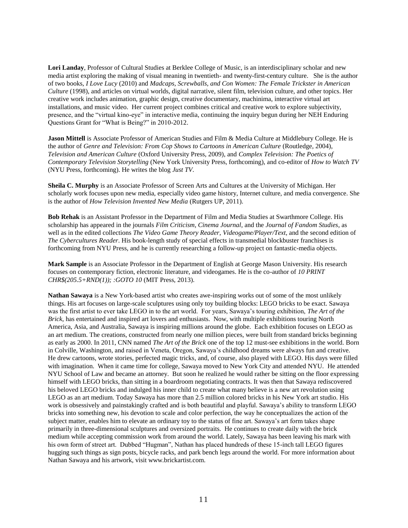**Lori Landay**, Professor of Cultural Studies at Berklee College of Music, is an interdisciplinary scholar and new media artist exploring the making of visual meaning in twentieth- and twenty-first-century culture. She is the author of two books, *I Love Lucy* (2010) and *Madcaps, Screwballs, and Con Women: The Female Trickster in American Culture* (1998), and articles on virtual worlds, digital narrative, silent film, television culture, and other topics. Her creative work includes animation, graphic design, creative documentary, machinima, interactive virtual art installations, and music video. Her current project combines critical and creative work to explore subjectivity, presence, and the "virtual kino-eye" in interactive media, continuing the inquiry begun during her NEH Enduring Questions Grant for "What is Being?" in 2010-2012.

**Jason Mittell** is Associate Professor of American Studies and Film & Media Culture at Middlebury College. He is the author of *Genre and Television: From Cop Shows to Cartoons in American Culture* (Routledge, 2004), *Television and American Culture* (Oxford University Press, 2009), and *Complex Television: The Poetics of Contemporary Television Storytelling* (New York University Press, forthcoming), and co-editor of *How to Watch TV* (NYU Press, forthcoming). He writes the blog *Just TV*.

**Sheila C. Murphy** is an Associate Professor of Screen Arts and Cultures at the University of Michigan. Her scholarly work focuses upon new media, especially video game history, Internet culture, and media convergence. She is the author of *How Television Invented New Media* (Rutgers UP, 2011).

**Bob Rehak** is an Assistant Professor in the Department of Film and Media Studies at Swarthmore College. His scholarship has appeared in the journals *Film Criticism*, *Cinema Journal*, and the *Journal of Fandom Studies*, as well as in the edited collections *The Video Game Theory Reader*, *Videogame/Player/Text*, and the second edition of *The Cybercultures Reader*. His book-length study of special effects in transmedial blockbuster franchises is forthcoming from NYU Press, and he is currently researching a follow-up project on fantastic-media objects.

**Mark Sample** is an Associate Professor in the Department of English at George Mason University. His research focuses on contemporary fiction, electronic literature, and videogames. He is the co-author of *10 PRINT CHR\$(205.5+RND(1)); :GOTO 10* (MIT Press, 2013).

**Nathan Sawaya** is a New York-based artist who creates awe-inspiring works out of some of the most unlikely things. His art focuses on large-scale sculptures using only toy building blocks: LEGO bricks to be exact. Sawaya was the first artist to ever take LEGO in to the art world. For years, Sawaya's touring exhibition, *The Art of the Brick,* has entertained and inspired art lovers and enthusiasts. Now, with multiple exhibitions touring North America, Asia, and Australia, Sawaya is inspiring millions around the globe. Each exhibition focuses on LEGO as an art medium. The creations, constructed from nearly one million pieces, were built from standard bricks beginning as early as 2000. In 2011, CNN named *The Art of the Brick* one of the top 12 must-see exhibitions in the world. Born in Colville, Washington, and raised in Veneta, Oregon, Sawaya's childhood dreams were always fun and creative. He drew cartoons, wrote stories, perfected magic tricks, and, of course, also played with LEGO. His days were filled with imagination. When it came time for college, Sawaya moved to New York City and attended NYU. He attended NYU School of Law and became an attorney. But soon he realized he would rather be sitting on the floor expressing himself with LEGO bricks, than sitting in a boardroom negotiating contracts. It was then that Sawaya rediscovered his beloved LEGO bricks and indulged his inner child to create what many believe is a new art revolution using LEGO as an art medium. Today Sawaya has more than 2.5 million colored bricks in his New York art studio. His work is obsessively and painstakingly crafted and is both beautiful and playful. Sawaya's ability to transform LEGO bricks into something new, his devotion to scale and color perfection, the way he conceptualizes the action of the subject matter, enables him to elevate an ordinary toy to the status of fine art. Sawaya's art form takes shape primarily in three-dimensional sculptures and oversized portraits. He continues to create daily with the brick medium while accepting commission work from around the world. Lately, Sawaya has been leaving his mark with his own form of street art. Dubbed "Hugman", Nathan has placed hundreds of these 15-inch tall LEGO figures hugging such things as sign posts, bicycle racks, and park bench legs around the world. For more information about Nathan Sawaya and his artwork, visit www.brickartist.com.